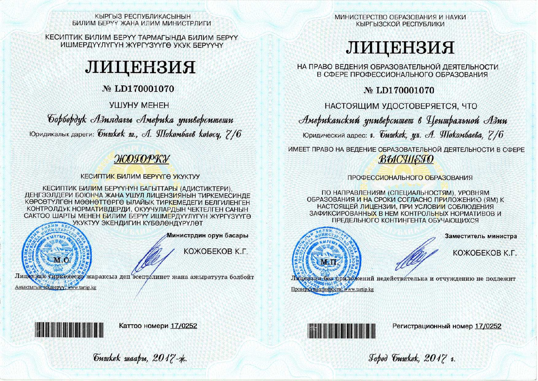КЫРГЫЗ РЕСПУБЛИКАСЫНЫН БИЛИМ БЕРУУ ЖАНА ИЛИМ МИНИСТРЛИГИ

КЕСИПТИК БИЛИМ БЕРҮҮ ТАРМАГЫНДА БИЛИМ БЕРҮҮ ИШМЕРДҮҮЛҮГҮН ЖҮРГҮЗҮҮГӨ УКУК БЕРҮҮЧҮ

# ЛИЦЕНЗИЯ

# № LD170001070

УШУНУ МЕНЕН

Gopbopdyk Азиядагы Америка университети Юридикалык дареги: *бишкек ш., А. Шокомбаев колосу*, 7/6

# ЖОГОРКУ

**КЕСИПТИК БИЛИМ БЕРҮҮГӨ УКУКТУУ** 

**КЕСИПТИК БИЛИМ БЕРҮҮНҮН БАГЫТТАРЫ (АЛИСТИКТЕРИ).** ДЕҢГЭЭЛДЕРИ БОЮНЧА ЖАНА УШУЛ ЛИЦЕНЗИЯНЫН ТИРКЕМЕСИНДЕ КӨРСӨТҮЛГӨН МӨӨНӨТТӨРГӨ ЫЛАЙЫК ТИРКЕМЕЛЕГИ БЕЛГИЛЕНГЕН КОНТРОЛДУК НОРМАТИВДЕРДИ, ОКУУЧУЛАРДЫН ЧЕКТЕЛГЕН САНЫН САКТОО ШАРТЫ МЕНЕН БИЛИМ БЕРҮҮ ИШМЕРДҮҮЛҮГҮН ЖҮРГҮЗҮҮГӨ УКУКТУУ ЭКЕНДИГИН КҮБӨЛӨНДҮРҮЛӨТ



Аныктыгын текшерүү" www.tartip.kg

Министрдин орун басары

КОЖОБЕКОВ К.Г.

Лицензия тиркемесиз жараксыз деп эсептелинет жана ажыратууга болбойт

МИНИСТЕРСТВО ОБРАЗОВАНИЯ И НАУКИ КЫРГЫЗСКОЙ РЕСПУБЛИКИ

# ЛИЦЕНЗИЯ

НА ПРАВО ВЕДЕНИЯ ОБРАЗОВАТЕЛЬНОЙ ДЕЯТЕЛЬНОСТИ В СФЕРЕ ПРОФЕССИОНАЛЬНОГО ОБРАЗОВАНИЯ

№ LD170001070

НАСТОЯЩИМ УДОСТОВЕРЯЕТСЯ, ЧТО

Американский университет в Центральной Азии

Юридический адрес: г. *бишкек*, ул. А. Шокомбаева, 7/6

ИМЕЕТ ПРАВО НА ВЕДЕНИЕ ОБРАЗОВАТЕЛЬНОЙ ДЕЯТЕЛЬНОСТИ В СФЕРЕ ВЫСЧІЕГО

# ПРОФЕССИОНАЛЬНОГО ОБРАЗОВАНИЯ

ПО НАПРАВЛЕНИЯМ (СПЕЦИАЛЬНОСТЯМ), УРОВНЯМ ОБРАЗОВАНИЯ И НА СРОКИ СОГЛАСНО ПРИЛОЖЕНИЮ (ЯМ) К НАСТОЯЩЕЙ ЛИЦЕНЗИИ, ПРИ УСЛОВИИ СОБЛЮДЕНИЯ ЗАФИКСИРОВАННЫХ В НЕМ КОНТРОЛЬНЫХ НОРМАТИВОВ И ПРЕДЕЛЬНОГО КОНТИНГЕНТА ОБУЧАЮЩИХСЯ



Заместитель министра

КОЖОБЕКОВ К.Г.

Лицензия без приложений недействительна и отчуждению не подлежит Проверка подлинности: www.tartip.kg



Каттоо номери 17/0252



Регистрационный номер 17/0252

Jobod Guwkek, 2017 v.

Guwkek waapu, 2017-x.